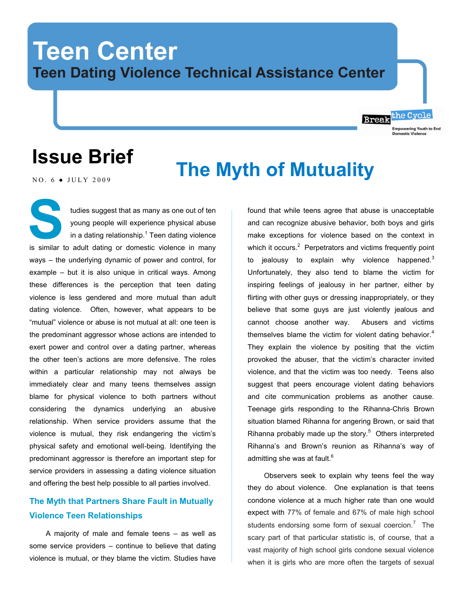# **Teen Center Teen Dating Violence Technical Assistance Center**

# **Issue Brief**

# **The Myth of Mutuality**

NO.  $6 \bullet$  JULY 2009

tudies suggest that as many as one out of ten young people will experience physical abuse in a dating relationship. $1$  Teen dating violence is similar to adult dating or domestic violence in many ways – the underlying dynamic of power and control, for example – but it is also unique in critical ways. Among these differences is the perception that teen dating violence is less gendered and more mutual than adult dating violence. Often, however, what appears to be "mutual" violence or abuse is not mutual at all: one teen is the predominant aggressor whose actions are intended to exert power and control over a dating partner, whereas the other teen's actions are more defensive. The roles within a particular relationship may not always be immediately clear and many teens themselves assign blame for physical violence to both partners without considering the dynamics underlying an abusive relationship. When service providers assume that the violence is mutual, they risk endangering the victim's physical safety and emotional well-being. Identifying the predominant aggressor is therefore an important step for service providers in assessing a dating violence situation and offering the best help possible to all parties involved. **S**

# **The Myth that Partners Share Fault in Mutually Violence Teen Relationships**

A majority of male and female teens – as well as some service providers – continue to believe that dating violence is mutual, or they blame the victim. Studies have

found that while teens agree that abuse is unacceptable and can recognize abusive behavior, both boys and girls make exceptions for violence based on the context in which it occurs. $2$  Perpetrators and victims frequently point to jealousy to explain why violence happened. $3$ Unfortunately, they also tend to blame the victim for inspiring feelings of jealousy in her partner, either by flirting with other guys or dressing inappropriately, or they believe that some guys are just violently jealous and cannot choose another way. Abusers and victims themselves blame the victim for violent dating behavior. $4$ They explain the violence by positing that the victim provoked the abuser, that the victim's character invited violence, and that the victim was too needy. Teens also suggest that peers encourage violent dating behaviors and cite communication problems as another cause. Teenage girls responding to the Rihanna-Chris Brown situation blamed Rihanna for angering Brown, or said that Rihanna probably made up the story. $5$  Others interpreted Rihanna's and Brown's reunion as Rihanna's way of admitting she was at fault.<sup>6</sup>

Break the Cycle

**Empowering Youth to End** 

Observers seek to explain why teens feel the way they do about violence. One explanation is that teens condone violence at a much higher rate than one would expect with 77% of female and 67% of male high school students endorsing some form of sexual coercion. $<sup>7</sup>$  The</sup> scary part of that particular statistic is, of course, that a vast majority of high school girls condone sexual violence when it is girls who are more often the targets of sexual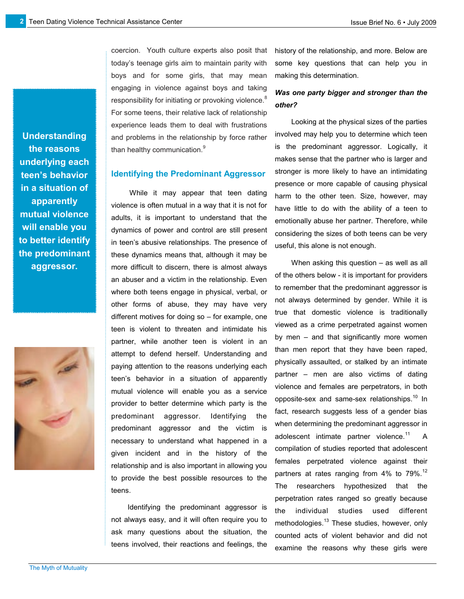boys and for some girls, that may mean engaging in violence against boys and taking responsibility for initiating or provoking violence.<sup>8</sup> For some teens, their relative lack of relationship experience leads them to deal with frustrations and problems in the relationship by force rather than healthy communication.<sup>9</sup>

#### **Identifying the Predominant Aggressor**

coercion. Youth culture experts also posit that today's teenage girls aim to maintain parity with

While it may appear that teen dating violence is often mutual in a way that it is not for adults, it is important to understand that the dynamics of power and control are still present in teen's abusive relationships. The presence of these dynamics means that, although it may be more difficult to discern, there is almost always an abuser and a victim in the relationship. Even where both teens engage in physical, verbal, or other forms of abuse, they may have very different motives for doing so – for example, one teen is violent to threaten and intimidate his partner, while another teen is violent in an attempt to defend herself. Understanding and paying attention to the reasons underlying each teen's behavior in a situation of apparently mutual violence will enable you as a service provider to better determine which party is the predominant aggressor. Identifying the predominant aggressor and the victim is necessary to understand what happened in a given incident and in the history of the relationship and is also important in allowing you to provide the best possible resources to the teens.

Identifying the predominant aggressor is not always easy, and it will often require you to ask many questions about the situation, the teens involved, their reactions and feelings, the history of the relationship, and more. Below are some key questions that can help you in making this determination.

### *Was one party bigger and stronger than the other?*

Looking at the physical sizes of the parties involved may help you to determine which teen is the predominant aggressor. Logically, it makes sense that the partner who is larger and stronger is more likely to have an intimidating presence or more capable of causing physical harm to the other teen. Size, however, may have little to do with the ability of a teen to emotionally abuse her partner. Therefore, while considering the sizes of both teens can be very useful, this alone is not enough.

When asking this question – as well as all of the others below - it is important for providers to remember that the predominant aggressor is not always determined by gender. While it is true that domestic violence is traditionally viewed as a crime perpetrated against women by men – and that significantly more women than men report that they have been raped, physically assaulted, or stalked by an intimate partner – men are also victims of dating violence and females are perpetrators, in both opposite-sex and same-sex relationships.<sup>10</sup> In fact, research suggests less of a gender bias when determining the predominant aggressor in adolescent intimate partner violence.<sup>11</sup> A compilation of studies reported that adolescent females perpetrated violence against their partners at rates ranging from 4% to 79%.<sup>12</sup> The researchers hypothesized that the perpetration rates ranged so greatly because the individual studies used different methodologies.<sup>13</sup> These studies, however, only counted acts of violent behavior and did not examine the reasons why these girls were

**Understanding the reasons underlying each teen's behavior in a situation of apparently mutual violence will enable you to better identify the predominant aggressor.**

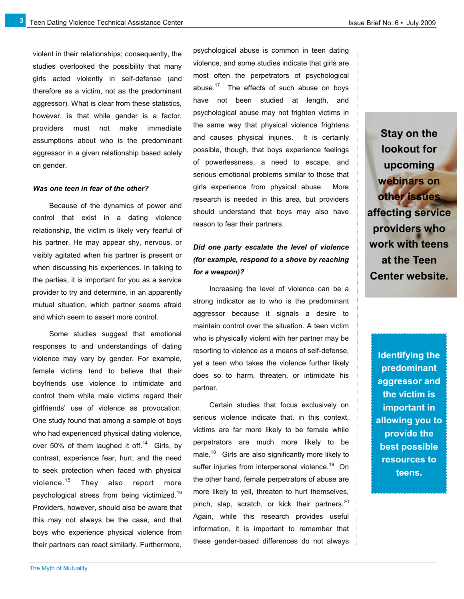**3**

violent in their relationships; consequently, the studies overlooked the possibility that many girls acted violently in self-defense (and therefore as a victim, not as the predominant aggressor). What is clear from these statistics, however, is that while gender is a factor, providers must not make immediate assumptions about who is the predominant aggressor in a given relationship based solely on gender.

#### *Was one teen in fear of the other?*

Because of the dynamics of power and control that exist in a dating violence relationship, the victim is likely very fearful of his partner. He may appear shy, nervous, or visibly agitated when his partner is present or when discussing his experiences. In talking to the parties, it is important for you as a service provider to try and determine, in an apparently mutual situation, which partner seems afraid and which seem to assert more control.

Some studies suggest that emotional responses to and understandings of dating violence may vary by gender. For example, female victims tend to believe that their boyfriends use violence to intimidate and control them while male victims regard their girlfriends' use of violence as provocation. One study found that among a sample of boys who had experienced physical dating violence, over 50% of them laughed it off.<sup>14</sup> Girls, by contrast, experience fear, hurt, and the need to seek protection when faced with physical violence.<sup>15</sup> They also report more psychological stress from being victimized.<sup>16</sup> Providers, however, should also be aware that this may not always be the case, and that boys who experience physical violence from their partners can react similarly. Furthermore,

psychological abuse is common in teen dating violence, and some studies indicate that girls are most often the perpetrators of psychological abuse. $17$  The effects of such abuse on boys have not been studied at length, and psychological abuse may not frighten victims in the same way that physical violence frightens and causes physical injuries. It is certainly possible, though, that boys experience feelings of powerlessness, a need to escape, and serious emotional problems similar to those that girls experience from physical abuse. More research is needed in this area, but providers should understand that boys may also have reason to fear their partners.

### *Did one party escalate the level of violence (for example, respond to a shove by reaching for a weapon)?*

Increasing the level of violence can be a strong indicator as to who is the predominant aggressor because it signals a desire to maintain control over the situation. A teen victim who is physically violent with her partner may be resorting to violence as a means of self-defense, yet a teen who takes the violence further likely does so to harm, threaten, or intimidate his partner.

Certain studies that focus exclusively on serious violence indicate that, in this context, victims are far more likely to be female while perpetrators are much more likely to be male.<sup>18</sup> Girls are also significantly more likely to suffer injuries from interpersonal violence.<sup>19</sup> On the other hand, female perpetrators of abuse are more likely to yell, threaten to hurt themselves, pinch, slap, scratch, or kick their partners.<sup>20</sup> Again, while this research provides useful information, it is important to remember that these gender-based differences do not always

**Stay on the lookout for upcoming webinars on other issues affecting service providers who work with teens at the Teen Center website.**

> **Identifying the predominant aggressor and the victim is important in allowing you to provide the best possible resources to teens.**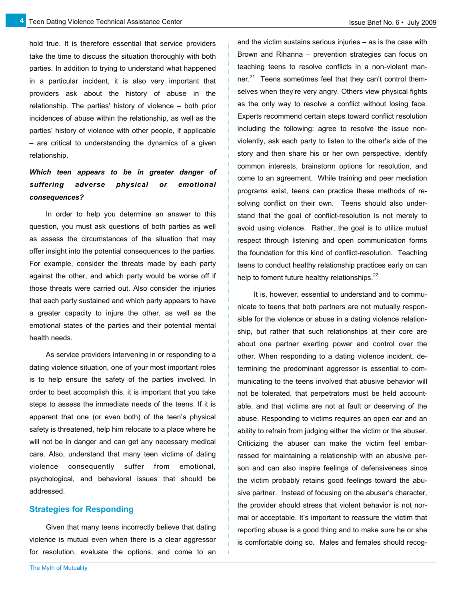**4**

hold true. It is therefore essential that service providers take the time to discuss the situation thoroughly with both parties. In addition to trying to understand what happened in a particular incident, it is also very important that providers ask about the history of abuse in the relationship. The parties' history of violence – both prior incidences of abuse within the relationship, as well as the parties' history of violence with other people, if applicable – are critical to understanding the dynamics of a given relationship.

## *Which teen appears to be in greater danger of suffering adverse physical or emotional consequences?*

In order to help you determine an answer to this question, you must ask questions of both parties as well as assess the circumstances of the situation that may offer insight into the potential consequences to the parties. For example, consider the threats made by each party against the other, and which party would be worse off if those threats were carried out. Also consider the injuries that each party sustained and which party appears to have a greater capacity to injure the other, as well as the emotional states of the parties and their potential mental health needs.

As service providers intervening in or responding to a dating violence situation, one of your most important roles is to help ensure the safety of the parties involved. In order to best accomplish this, it is important that you take steps to assess the immediate needs of the teens. If it is apparent that one (or even both) of the teen's physical safety is threatened, help him relocate to a place where he will not be in danger and can get any necessary medical care. Also, understand that many teen victims of dating violence consequently suffer from emotional, psychological, and behavioral issues that should be addressed.

#### **Strategies for Responding**

Given that many teens incorrectly believe that dating violence is mutual even when there is a clear aggressor for resolution, evaluate the options, and come to an and the victim sustains serious injuries – as is the case with Brown and Rihanna – prevention strategies can focus on teaching teens to resolve conflicts in a non-violent manner.<sup>21</sup> Teens sometimes feel that they can't control themselves when they're very angry. Others view physical fights as the only way to resolve a conflict without losing face. Experts recommend certain steps toward conflict resolution including the following: agree to resolve the issue nonviolently, ask each party to listen to the other's side of the story and then share his or her own perspective, identify common interests, brainstorm options for resolution, and come to an agreement. While training and peer mediation programs exist, teens can practice these methods of resolving conflict on their own. Teens should also understand that the goal of conflict-resolution is not merely to avoid using violence. Rather, the goal is to utilize mutual respect through listening and open communication forms the foundation for this kind of conflict-resolution. Teaching teens to conduct healthy relationship practices early on can help to foment future healthy relationships.<sup>22</sup>

It is, however, essential to understand and to communicate to teens that both partners are not mutually responsible for the violence or abuse in a dating violence relationship, but rather that such relationships at their core are about one partner exerting power and control over the other. When responding to a dating violence incident, determining the predominant aggressor is essential to communicating to the teens involved that abusive behavior will not be tolerated, that perpetrators must be held accountable, and that victims are not at fault or deserving of the abuse. Responding to victims requires an open ear and an ability to refrain from judging either the victim or the abuser. Criticizing the abuser can make the victim feel embarrassed for maintaining a relationship with an abusive person and can also inspire feelings of defensiveness since the victim probably retains good feelings toward the abusive partner. Instead of focusing on the abuser's character, the provider should stress that violent behavior is not normal or acceptable. It's important to reassure the victim that reporting abuse is a good thing and to make sure he or she is comfortable doing so. Males and females should recog